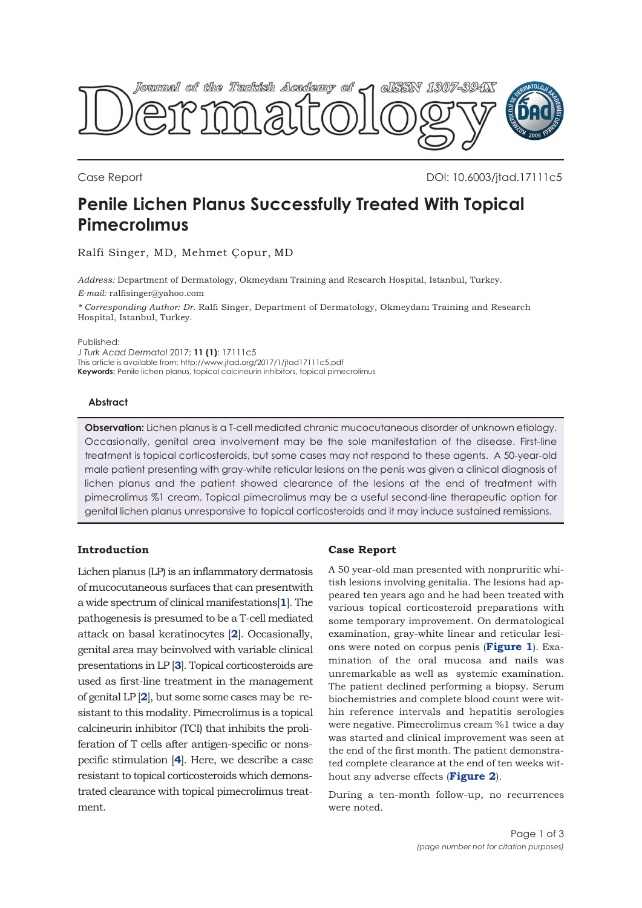

Case Report **Case Report** 2012 10:4003/jtad.17111c5

# **Penile Lichen Planus Successfully Treated With Topical Pimecrolımus**

Ralfi Singer, MD, Mehmet Çopur, MD

*Address:* Department of Dermatology, Okmeydanı Training and Research Hospital, Istanbul, Turkey. *E-mail:* ralfisinger@yahoo.com

*\* Corresponding Author: Dr.* Ralfi Singer, Department of Dermatology, Okmeydanı Training and Research Hospital, Istanbul, Turkey.

Published:

*J Turk Acad Dermatol* 2017; **11 (1)**: 17111c5 This article is available from: http://www.jtad.org/2017/1/jtad17111c5.pdf **Keywords:** Penile lichen planus, topical calcineurin inhibitors, topical pimecrolimus

#### **Abstract**

**Observation:** Lichen planus is a T-cell mediated chronic mucocutaneous disorder of unknown etiology. Occasionally, genital area involvement may be the sole manifestation of the disease. First-line treatment is topical corticosteroids, but some cases may not respond to these agents. A 50-year-old male patient presenting with gray-white reticular lesions on the penis was given a clinical diagnosis of lichen planus and the patient showed clearance of the lesions at the end of treatment with pimecrolimus %1 cream. Topical pimecrolimus may be a useful second-line therapeutic option for genital lichen planus unresponsive to topical corticosteroids and it may induce sustained remissions.

### **Introduction**

Lichen planus (LP) is an inflammatory dermatosis of mucocutaneous surfaces that can presentwith a wide spectrum of clinical manifestations[**[1](#page-2-0)**]. The pathogenesis is presumed to be a T-cell mediated attack on basal keratinocytes [**[2](#page-2-0)**]. Occasionally, genital area may beinvolved with variable clinical presentations in LP [**[3](#page-2-0)**]. Topical corticosteroids are used as first-line treatment in the management of genital LP [**[2](#page-2-0)**], but some some cases may be resistant to this modality. Pimecrolimus is a topical calcineurin inhibitor (TCI) that inhibits the proliferation of T cells after antigen-specific or nonspecific stimulation [**[4](#page-2-0)**]. Here, we describe a case resistant to topical corticosteroids which demonstrated clearance with topical pimecrolimus treatment.

### **Case Report**

A 50 year-old man presented with nonpruritic whitish lesions involving genitalia. The lesions had appeared ten years ago and he had been treated with various topical corticosteroid preparations with some temporary improvement. On dermatological examination, gray-white linear and reticular lesions were noted on corpus penis (**[Figure 1](#page-1-0)**). Examination of the oral mucosa and nails was unremarkable as well as systemic examination. The patient declined performing a biopsy. Serum biochemistries and complete blood count were within reference intervals and hepatitis serologies were negative. Pimecrolimus cream %1 twice a day was started and clinical improvement was seen at the end of the first month. The patient demonstrated complete clearance at the end of ten weeks without any adverse effects (**[Figure 2](#page-1-0)**).

During a ten-month follow-up, no recurrences were noted.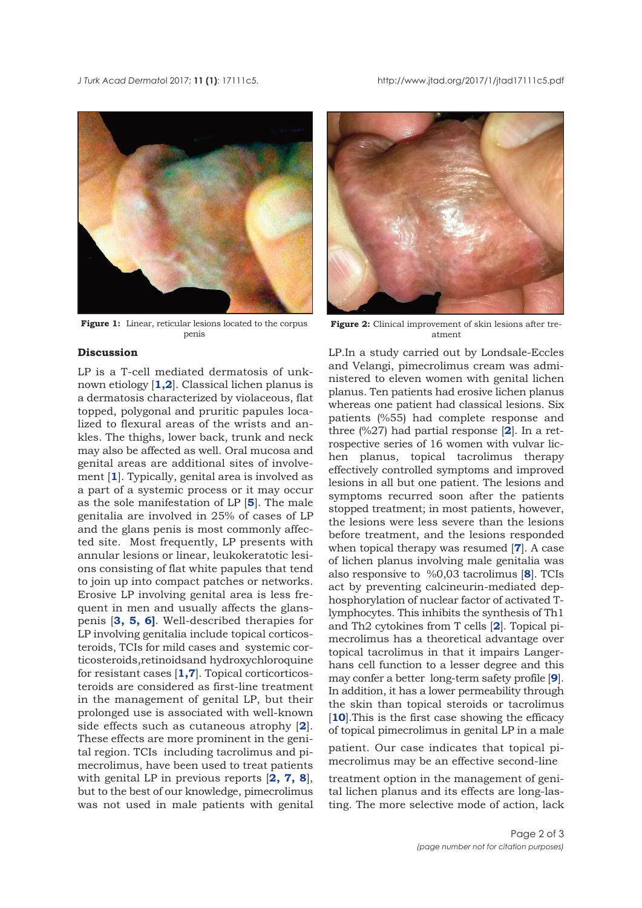<span id="page-1-0"></span>*J Turk Acad Dermato*l 2017; **11 (1)**: 17111c5. http://www.jtad.org/2017/1/jtad17111c5.pdf



Figure 1: Linear, reticular lesions located to the corpus penis

## **Discussion**

LP is a T-cell mediated dermatosis of unknown etiology [**[1,2](#page-2-0)**]. Classical lichen planus is a dermatosis characterized by violaceous, flat topped, polygonal and pruritic papules localized to flexural areas of the wrists and ankles. The thighs, lower back, trunk and neck may also be affected as well. Oral mucosa and genital areas are additional sites of involvement [**[1](#page-2-0)**]. Typically, genital area is involved as a part of a systemic process or it may occur as the sole manifestation of LP [**[5](#page-2-0)**]. The male genitalia are involved in 25% of cases of LP and the glans penis is most commonly affected site. Most frequently, LP presents with annular lesions or linear, leukokeratotic lesions consisting of flat white papules that tend to join up into compact patches or networks. Erosive LP involving genital area is less frequent in men and usually affects the glanspenis [**[3](#page-2-0), [5](#page-2-0), [6\]](#page-2-0)**. Well-described therapies for LP involving genitalia include topical corticosteroids, TCIs for mild cases and systemic corticosteroids,retinoidsand hydroxychloroquine for resistant cases [**[1](#page-2-0),[7](#page-2-0)**]. Topical corticorticosteroids are considered as first-line treatment in the management of genital LP, but their prolonged use is associated with well-known side effects such as cutaneous atrophy [**[2](#page-2-0)**]. These effects are more prominent in the genital region. TCIs including tacrolimus and pimecrolimus, have been used to treat patients with genital LP in previous reports [**[2](#page-2-0), [7](#page-2-0), [8](#page-2-0)**], but to the best of our knowledge, pimecrolimus was not used in male patients with genital



Figure 2: Clinical improvement of skin lesions after treatment

LP.In a study carried out by Londsale-Eccles and Velangi, pimecrolimus cream was administered to eleven women with genital lichen planus. Ten patients had erosive lichen planus whereas one patient had classical lesions. Six patients (%55) had complete response and three (%27) had partial response [**[2](#page-2-0)**]. In a retrospective series of 16 women with vulvar lichen planus, topical tacrolimus therapy effectively controlled symptoms and improved lesions in all but one patient. The lesions and symptoms recurred soon after the patients stopped treatment; in most patients, however, the lesions were less severe than the lesions before treatment, and the lesions responded when topical therapy was resumed [**[7](#page-2-0)**]. A case of lichen planus involving male genitalia was also responsive to %0,03 tacrolimus [**[8](#page-2-0)**]. TCIs act by preventing calcineurin-mediated dephosphorylation of nuclear factor of activated Tlymphocytes. This inhibits the synthesis of Th1 and Th2 cytokines from T cells [**[2](#page-2-0)**]. Topical pimecrolimus has a theoretical advantage over topical tacrolimus in that it impairs Langerhans cell function to a lesser degree and this may confer a better long-term safety profile [**[9](#page-2-0)**]. In addition, it has a lower permeability through the skin than topical steroids or tacrolimus [**[10](#page-2-0)**].This is the first case showing the efficacy of topical pimecrolimus in genital LP in a male

patient. Our case indicates that topical pimecrolimus may be an effective second-line

treatment option in the management of genital lichen planus and its effects are long-lasting. The more selective mode of action, lack